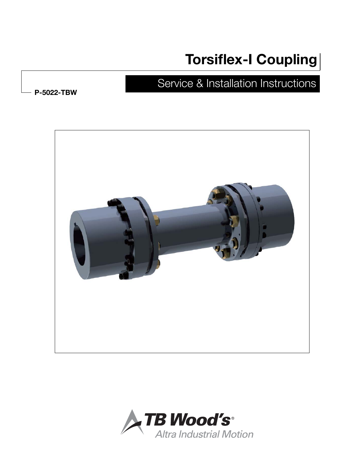# **Torsiflex-I Coupling**

## Service & Installation Instructions

**P-5022-TBW**



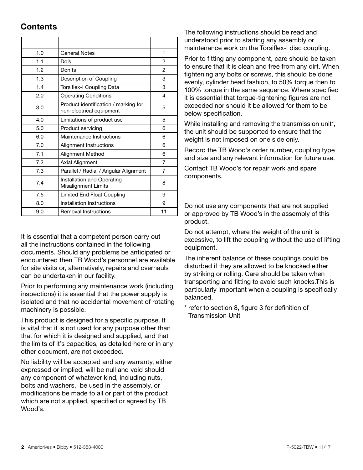### **Contents**

| 1.0 | General Notes                                                    | 1              |
|-----|------------------------------------------------------------------|----------------|
| 1.1 | Do's                                                             | 2              |
| 1.2 | Don'ts                                                           | $\mathfrak{p}$ |
| 1.3 | Description of Coupling                                          | 3              |
| 1.4 | Torsiflex-I Coupling Data                                        | 3              |
| 2.0 | <b>Operating Conditions</b>                                      | 4              |
| 3.0 | Product identification / marking for<br>non-electrical equipment | 5              |
| 4.0 | Limitations of product use                                       | 5              |
| 5.0 | Product servicing                                                | 6              |
| 6.0 | Maintenance Instructions                                         | 6              |
| 7.0 | Alignment Instructions                                           | 6              |
| 7.1 | Alignment Method                                                 | 6              |
| 7.2 | <b>Axial Alignment</b>                                           | 7              |
| 7.3 | Parallel / Radial / Angular Alignment                            | 7              |
| 7.4 | Installation and Operating<br><b>Misalignment Limits</b>         | 8              |
| 7.5 | Limited End Float Coupling                                       | 9              |
| 8.0 | Installation Instructions                                        | 9              |
| 9.0 | <b>Removal Instructions</b>                                      | 11             |

It is essential that a competent person carry out all the instructions contained in the following documents. Should any problems be anticipated or encountered then TB Wood's personnel are available for site visits or, alternatively, repairs and overhauls can be undertaken in our facility.

Prior to performing any maintenance work (including inspections) it is essential that the power supply is isolated and that no accidental movement of rotating machinery is possible.

This product is designed for a specific purpose. It is vital that it is not used for any purpose other than that for which it is designed and supplied, and that the limits of it's capacities, as detailed here or in any other document, are not exceeded.

No liability will be accepted and any warranty, either expressed or implied, will be null and void should any component of whatever kind, including nuts, bolts and washers, be used in the assembly, or modifications be made to all or part of the product which are not supplied, specified or agreed by TB Wood's.

The following instructions should be read and understood prior to starting any assembly or maintenance work on the Torsiflex-I disc coupling.

Prior to fitting any component, care should be taken to ensure that it is clean and free from any dirt. When tightening any bolts or screws, this should be done evenly, cylinder head fashion, to 50% torque then to 100% torque in the same sequence. Where specified it is essential that torque-tightening figures are not exceeded nor should it be allowed for them to be below specification.

While installing and removing the transmission unit\*, the unit should be supported to ensure that the weight is not imposed on one side only.

Record the TB Wood's order number, coupling type and size and any relevant information for future use.

Contact TB Wood's for repair work and spare components.

Do not use any components that are not supplied or approved by TB Wood's in the assembly of this product.

Do not attempt, where the weight of the unit is excessive, to lift the coupling without the use of lifting equipment.

The inherent balance of these couplings could be disturbed if they are allowed to be knocked either by striking or rolling. Care should be taken when transporting and fitting to avoid such knocks.This is particularly important when a coupling is specifically balanced.

\* refer to section 8, figure 3 for definition of Transmission Unit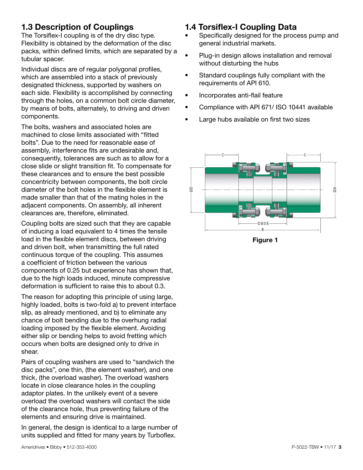## **1.3 Description of Couplings**

The Torsiflex-I coupling is of the dry disc type. Flexibility is obtained by the deformation of the disc packs, within defined limits, which are separated by a tubular spacer.

Individual discs are of regular polygonal profiles, which are assembled into a stack of previously designated thickness, supported by washers on each side. Flexibility is accomplished by connecting through the holes, on a common bolt circle diameter, by means of bolts, alternately, to driving and driven components.

The bolts, washers and associated holes are machined to close limits associated with "fitted bolts". Due to the need for reasonable ease of assembly, interference fits are undesirable and, consequently, tolerances are such as to allow for a close slide or slight transition fit. To compensate for these clearances and to ensure the best possible concentricity between components, the bolt circle diameter of the bolt holes in the flexible element is made smaller than that of the mating holes in the adjacent components. On assembly, all inherent clearances are, therefore, eliminated.

Coupling bolts are sized such that they are capable of inducing a load equivalent to 4 times the tensile load in the flexible element discs, between driving and driven bolt, when transmitting the full rated continuous torque of the coupling. This assumes a coefficient of friction between the various components of 0.25 but experience has shown that, due to the high loads induced, minute compressive deformation is sufficient to raise this to about 0.3.

The reason for adopting this principle of using large, highly loaded, bolts is two-fold a) to prevent interface slip, as already mentioned, and b) to eliminate any chance of bolt bending due to the overhung radial loading imposed by the flexible element. Avoiding either slip or bending helps to avoid fretting which occurs when bolts are designed only to drive in shear.

Pairs of coupling washers are used to "sandwich the disc packs", one thin, (the element washer), and one thick, (the overload washer). The overload washers locate in close clearance holes in the coupling adaptor plates. In the unlikely event of a severe overload the overload washers will contact the side of the clearance hole, thus preventing failure of the elements and ensuring drive is maintained.

In general, the design is identical to a large number of units supplied and fitted for many years by Turboflex.

### **1.4 Torsiflex-I Coupling Data**

- Specifically designed for the process pump and general industrial markets.
- Plug-in design allows installation and removal without disturbing the hubs
- Standard couplings fully compliant with the requirements of API 610.
- Incorporates anti-flail feature
- Compliance with API 671/ ISO 10441 available
- Large hubs available on first two sizes



**Figure 1**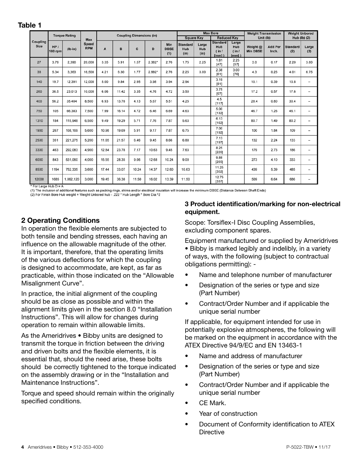| ۰,<br>۰.<br>×<br>× |  |
|--------------------|--|
|--------------------|--|

|                         |                       | <b>Torque Rating</b> |                            | <b>Coupling Dimensions (in)</b> |       |       | <b>Max Bore</b> |                           |                                |                      | <b>Weight Transmission</b>                |                                    | <b>Weight Unbored</b>       |                         |                        |                          |
|-------------------------|-----------------------|----------------------|----------------------------|---------------------------------|-------|-------|-----------------|---------------------------|--------------------------------|----------------------|-------------------------------------------|------------------------------------|-----------------------------|-------------------------|------------------------|--------------------------|
|                         |                       |                      | Max                        |                                 |       |       |                 |                           |                                | <b>Square Key</b>    |                                           | <b>Reduced Key</b>                 |                             | Unit (lb)               |                        | Hub (lb) (2)             |
| Coupling<br><b>Size</b> | HP/<br><b>100 rpm</b> | $(lb-in)$            | <b>Speed</b><br><b>RPM</b> | A                               | B     | C     | D               | Min<br><b>DBSE</b><br>(1) | <b>Standard</b><br>Hub<br>(in) | Large<br>Hub<br>(in) | <b>Standard</b><br>Hub<br>(in 1)<br>fmm1) | Large<br>Hub<br>(in 1)<br>$[mm]$ ) | Weight @<br><b>Min DBSE</b> | <b>Add Per</b><br>Inch. | <b>Standard</b><br>(2) | Large<br>(2)             |
| 27                      | 3.79                  | 2,390                | 20,000                     | 3.35                            | 5.91  | 1.57  | $2.362*$        | 2.76                      | 1.75                           | 2.25                 | 1.81<br>[47]                              | 2.25<br>[57]                       | 3.0                         | 0.17                    | 2.20                   | 3.80                     |
| 38                      | 5.34                  | 3,363                | 16,500                     | 4.21                            | 6.30  | 1.77  | 2.992*          | 2.76                      | 2.25                           | 3.00                 | 2.38<br>[61]                              | 3.00<br>$[76]$                     | 4.3                         | 0.25                    | 4.01                   | 6.75                     |
| 140                     | 19.7                  | 12.391               | 12,000                     | 5.00                            | 9.84  | 2.95  | 3.98            | 3.94                      | 2.94                           |                      | 3.19<br>$[81]$                            |                                    | 10.1                        | 0.39                    | 10.8                   | $\overline{\phantom{a}}$ |
| 260                     | 36.5                  | 23,013               | 10.000                     | 6.06                            | 11.42 | 3.35  | 4.76            | 4.72                      | 3.50                           |                      | 3.75<br>[97]                              |                                    | 17.2                        | 0.57                    | 17.6                   | $\overline{\phantom{a}}$ |
| 400                     | 56.2                  | 35.404               | 8,500                      | 6.93                            | 13.78 | 4.13  | 5.67            | 5.51                      | 4.25                           |                      | 4.5<br>[117]                              |                                    | 28.4                        | 0.80                    | 30.4                   | $\overline{\phantom{0}}$ |
| 750                     | 105                   | 66,383               | 7,500                      | 7.99                            | 16.14 | 4.72  | 6.46            | 6.69                      | 4.63                           |                      | 5.00<br>[132]                             |                                    | 46.7                        | 1.26                    | 46.1                   | $\overline{\phantom{a}}$ |
| 1310                    | 184                   | 115,948              | 6.500                      | 9.49                            | 19.29 | 5.71  | 7.76            | 7.87                      | 5.63                           |                      | 6.13<br>[162]                             |                                    | 80.7                        | 1.49                    | 80.2                   | $\overline{\phantom{a}}$ |
| 1900                    | 267                   | 168.169              | 5,600                      | 10.98                           | 19.69 | 5.91  | 9.17            | 7.87                      | 6.75                           |                      | 7.00<br>[192]                             |                                    | 100                         | 1.84                    | 109                    | $\overline{\phantom{0}}$ |
| 2500                    | 351                   | 221,275              | 5,200                      | 11.65                           | 21.57 | 6.46  | 9.45            | 8.66                      | 6.88                           |                      | 7.13<br>[197]                             |                                    | 132                         | 2.24                    | 133                    | $\overline{\phantom{a}}$ |
| 3300                    | 463                   | 292,083              | 4,900                      | 12.84                           | 23.78 | 7.17  | 10.63           | 9.45                      | 7.63                           |                      | 8.25<br>[220]                             |                                    | 179                         | 2.73                    | 186                    | $\overline{\phantom{0}}$ |
| 6000                    | 843                   | 531,060              | 4,000                      | 15.55                           | 28.35 | 9.06  | 12.68           | 10.24                     | 9.00                           |                      | 9.88<br>[265]                             |                                    | 273                         | 4.10                    | 333                    | $\overline{\phantom{a}}$ |
| 8500                    | 1194                  | 752,335              | 3,600                      | 17.44                           | 33.07 | 10.24 | 14.37           | 12.60                     | 10.63                          |                      | 11.25<br>[302]                            |                                    | 439                         | 5.39                    | 485                    | $\overline{\phantom{0}}$ |
| 12000                   | 1685                  | 1,062,120            | 3,000                      | 19.45                           | 36.38 | 11.50 | 16.02           | 13.39                     | 11.50                          |                      | 12.75<br>[337]                            |                                    | 569                         | 6.64                    | 686                    | $\overline{\phantom{m}}$ |

\* For Large Hub D = A

(1) The inclusion of additional features such as packing rings, shims and/or electrical insulation will increase the minimum DBSE (Distance Between Shaft Ends)

(2) For Finish Bore Hub weight = Weight Unbored hub - .222 \* Hub Length \* Bore Dia.^2

### **2 Operating Conditions**

In operation the flexible elements are subjected to both tensile and bending stresses, each having an influence on the allowable magnitude of the other. It is important, therefore, that the operating limits of the various deflections for which the coupling is designed to accommodate, are kept, as far as practicable, within those indicated on the "Allowable Misalignment Curve".

In practice, the initial alignment of the coupling should be as close as possible and within the alignment limits given in the section 8.0 "Installation Instructions". This will allow for changes during operation to remain within allowable limits.

As the Ameridrives • Bibby units are designed to transmit the torque in friction between the driving and driven bolts and the flexible elements, it is essential that, should the need arise, these bolts should be correctly tightened to the torque indicated on the assembly drawing or in the "Installation and Maintenance Instructions".

Torque and speed should remain within the originally specified conditions.

### **3 Product identification/marking for non-electrical equipment.**

Scope: Torsiflex-I Disc Coupling Assemblies, excluding component spares.

Equipment manufactured or supplied by Ameridrives

- Bibby is marked legibly and indelibly, in a variety of ways, with the following (subject to contractual obligations permitting): -
- Name and telephone number of manufacturer
- Designation of the series or type and size (Part Number)
- Contract/Order Number and if applicable the unique serial number

If applicable, for equipment intended for use in potentially explosive atmospheres, the following will be marked on the equipment in accordance with the ATEX Directive 94/9/EC and EN 13463-1

- Name and address of manufacturer
- Designation of the series or type and size (Part Number)
- Contract/Order Number and if applicable the unique serial number
- CE Mark.
- Year of construction
- Document of Conformity identification to ATEX **Directive**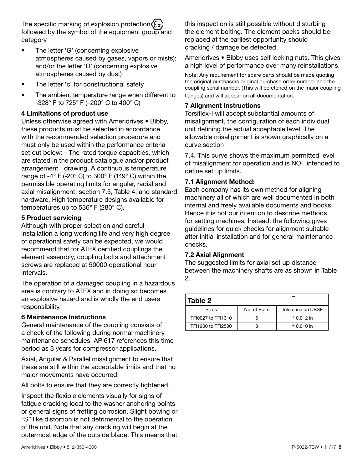The specific marking of explosion protection  $(x)$ followed by the symbol of the equipment group and category

- The letter 'G' (concerning explosive atmospheres caused by gases, vapors or mists); and/or the letter 'D' (concerning explosive atmospheres caused by dust)
- The letter 'c' for constructional safety
- The ambient temperature range when different to -328° F to 725° F (–200° C to 400° C)

### **4 Limitations of product use**

Unless otherwise agreed with Ameridrives • Bibby, these products must be selected in accordance with the recommended selection procedure and must only be used within the performance criteria set out below: - The rated torque capacities, which are stated in the product catalogue and/or product arrangement drawing. A continuous temperature range of  $-4^{\circ}$  F ( $-20^{\circ}$  C) to 300° F (149° C) within the permissible operating limits for angular, radial and axial misalignment, section 7.5, Table 4, and standard hardware. High temperature designs available for temperatures up to 536° F (280° C).

### **5 Product servicing**

Although with proper selection and careful installation a long working life and very high degree of operational safety can be expected, we would recommend that for ATEX certified couplings the element assembly, coupling bolts and attachment screws are replaced at 50000 operational hour intervals.

The operation of a damaged coupling in a hazardous area is contrary to ATEX and in doing so becomes an explosive hazard and is wholly the end users responsibility.

### **6 Maintenance Instructions**

General maintenance of the coupling consists of a check of the following during normal machinery maintenance schedules. API617 references this time period as 3 years for compressor applications.

Axial, Angular & Parallel misalignment to ensure that these are still within the acceptable limits and that no major movements have occurred.

All bolts to ensure that they are correctly tightened. -

Inspect the flexible elements visually for signs of fatigue cracking local to the washer anchoring points or general signs of fretting corrosion. Slight bowing or "S" like distortion is not detrimental to the operation of the unit. Note that any cracking will begin at the outermost edge of the outside blade. This means that

this inspection is still possible without disturbing the element bolting. The element packs should be replaced at the earliest opportunity should cracking / damage be detected.

Ameridrives • Bibby uses self locking nuts. This gives a high level of performance over many reinstallations.

Note: Any requirement for spare parts should be made quoting the original purchasers original purchase order number and the coupling serial number. (This will be etched on the major coupling flanges) and will appear on all documentation.

### **7 Alignment Instructions**

Torsiflex-I will accept substantial amounts of misalignment, the configuration of each individual unit defining the actual acceptable level. The allowable misalignment is shown graphically on a curve section

7.4. This curve shows the maximum permitted level of misalignment for operation and is NOT intended to define set up limits.

### **7.1 Alignment Method:**

Each company has its own method for aligning machinery all of which are well documented in both internal and freely available documents and books. Hence it is not our intention to describe methods for setting machines. Instead, the following gives guidelines for quick checks for alignment suitable after initial installation and for general maintenance checks.

### **7.2 Axial Alignment**

The suggested limits for axial set up distance between the machinery shafts are as shown in Table 2.

| Table 2            |              |                   |  |  |  |  |  |
|--------------------|--------------|-------------------|--|--|--|--|--|
| Sizes              | No. of Bolts | Tolerance on DBSE |  |  |  |  |  |
| TFI0027 to TFI1310 |              | $+0.012$ in       |  |  |  |  |  |
| TF11900 to TFI2500 |              | $+0.010$ in       |  |  |  |  |  |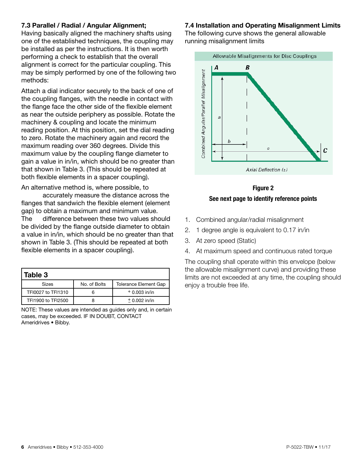### **7.3 Parallel / Radial / Angular Alignment;**

Having basically aligned the machinery shafts using one of the established techniques, the coupling may be installed as per the instructions. It is then worth performing a check to establish that the overall alignment is correct for the particular coupling. This may be simply performed by one of the following two methods:

Attach a dial indicator securely to the back of one of the coupling flanges, with the needle in contact with the flange face the other side of the flexible element as near the outside periphery as possible. Rotate the machinery & coupling and locate the minimum reading position. At this position, set the dial reading to zero. Rotate the machinery again and record the maximum reading over 360 degrees. Divide this maximum value by the coupling flange diameter to gain a value in in/in, which should be no greater than that shown in Table 3. (This should be repeated at both flexible elements in a spacer coupling).

An alternative method is, where possible, to accurately measure the distance across the flanges that sandwich the flexible element (element gap) to obtain a maximum and minimum value. The difference between these two values should be divided by the flange outside diameter to obtain a value in in/in, which should be no greater than that shown in Table 3. (This should be repeated at both flexible elements in a spacer coupling).

| Table 3            |              |                              |  |  |  |  |
|--------------------|--------------|------------------------------|--|--|--|--|
| <b>Sizes</b>       | No. of Bolts | <b>Tolerance Element Gap</b> |  |  |  |  |
| TFI0027 to TFI1310 |              | $+0.003$ in/in               |  |  |  |  |
| TF11900 to TFI2500 |              | $± 0.002$ in/in              |  |  |  |  |

NOTE: These values are intended as guides only and, in certain cases, may be exceeded. IF IN DOUBT, CONTACT Ameridrives • Bibby.

### **7.4 Installation and Operating Misalignment Limits**

The following curve shows the general allowable running misalignment limits



**Figure 2 See next page to identify reference points**

- 1. Combined angular/radial misalignment
- 2. 1 degree angle is equivalent to 0.17 in/in
- 3. At zero speed (Static)
- 4. At maximum speed and continuous rated torque

The coupling shall operate within this envelope (below the allowable misalignment curve) and providing these limits are not exceeded at any time, the coupling should enjoy a trouble free life.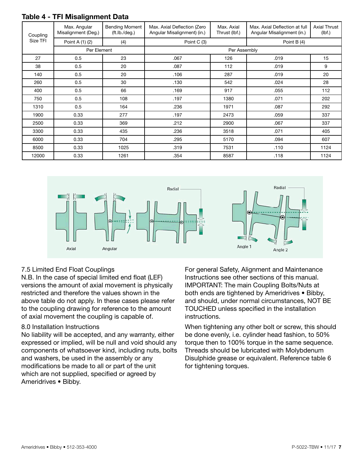|  | Table 4 - TFI Misalignment Data |
|--|---------------------------------|
|--|---------------------------------|

| Coupling | Max. Angular<br>Misalignment (Deg.) | <b>Bending Moment</b><br>(ft.lb./deg.) | Max. Axial Deflection (Zero<br>Angular Misalignment) (in.) | Max. Axial<br>Thrust (lbf.) | Max. Axial Deflection at full<br>Angular Misalignment (in.) | Axial Thrust<br>(lbf) |  |  |  |
|----------|-------------------------------------|----------------------------------------|------------------------------------------------------------|-----------------------------|-------------------------------------------------------------|-----------------------|--|--|--|
| Size TFI | Point A (1) (2)<br>(4)              |                                        | Point C (3)                                                |                             | Point B (4)                                                 |                       |  |  |  |
|          | Per Element                         |                                        | Per Assembly                                               |                             |                                                             |                       |  |  |  |
| 27       | 0.5                                 | 23                                     | .067                                                       | 126                         | .019                                                        | 15                    |  |  |  |
| 38       | 0.5                                 | 20                                     | .087                                                       | 112                         | .019                                                        | 9                     |  |  |  |
| 140      | 0.5                                 | 20                                     | .106                                                       | 287                         | .019                                                        | 20                    |  |  |  |
| 260      | 0.5                                 | 30                                     | .130                                                       | 542                         | .024                                                        | 28                    |  |  |  |
| 400      | 0.5                                 | 66                                     | .169                                                       | 917                         | .055                                                        | 112                   |  |  |  |
| 750      | 0.5                                 | 108                                    | .197                                                       | 1380                        | .071                                                        | 202                   |  |  |  |
| 1310     | 0.5                                 | 164                                    | .236                                                       | 1971                        | .087                                                        | 292                   |  |  |  |
| 1900     | 0.33                                | 277                                    | .197                                                       | 2473                        | .059                                                        | 337                   |  |  |  |
| 2500     | 0.33                                | 369                                    | .212                                                       | 2900                        | .067                                                        | 337                   |  |  |  |
| 3300     | 0.33                                | 435                                    | .236                                                       | 3518                        | .071                                                        | 405                   |  |  |  |
| 6000     | 0.33                                | 704                                    | .295                                                       | 5170                        | .094                                                        | 607                   |  |  |  |
| 8500     | 0.33                                | 1025                                   | .319                                                       | 7531                        | .110                                                        | 1124                  |  |  |  |
| 12000    | 0.33                                | 1261                                   | .354                                                       | 8587                        | .118                                                        | 1124                  |  |  |  |



### 7.5 Limited End Float Couplings

N.B. In the case of special limited end float (LEF) versions the amount of axial movement is physically restricted and therefore the values shown in the above table do not apply. In these cases please refer to the coupling drawing for reference to the amount of axial movement the coupling is capable of.

### 8.0 Installation Instructions

No liability will be accepted, and any warranty, either expressed or implied, will be null and void should any components of whatsoever kind, including nuts, bolts and washers, be used in the assembly or any modifications be made to all or part of the unit which are not supplied, specified or agreed by Ameridrives • Bibby.

For general Safety, Alignment and Maintenance Instructions see other sections of this manual. IMPORTANT: The main Coupling Bolts/Nuts at both ends are tightened by Ameridrives • Bibby, and should, under normal circumstances, NOT BE TOUCHED unless specified in the installation instructions.

When tightening any other bolt or screw, this should be done evenly, i.e. cylinder head fashion, to 50% torque then to 100% torque in the same sequence. Threads should be lubricated with Molybdenum Disulphide grease or equivalent. Reference table 6 for tightening torques.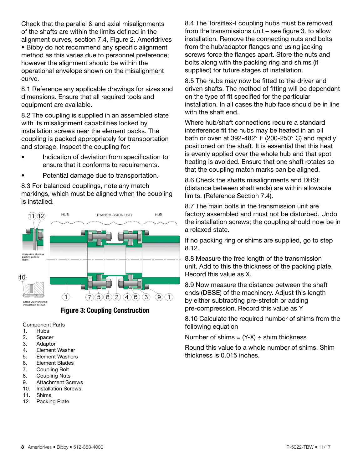Check that the parallel & and axial misalignments of the shafts are within the limits defined in the alignment curves, section 7.4, Figure 2. Ameridrives

• Bibby do not recommend any specific alignment method as this varies due to personnel preference; however the alignment should be within the operational envelope shown on the misalignment curve.

8.1 Reference any applicable drawings for sizes and dimensions. Ensure that all required tools and equipment are available.

8.2 The coupling is supplied in an assembled state with its misalignment capabilities locked by installation screws near the element packs. The coupling is packed appropriately for transportation and storage. Inspect the coupling for:

- Indication of deviation from specification to ensure that it conforms to requirements.
- Potential damage due to transportation.

8.3 For balanced couplings, note any match markings, which must be aligned when the coupling is installed.



 **Figure 3: Coupling Construction**

Component Parts

- 1. Hubs
- 2. Spacer
- 3. Adaptor
- 4. Element Washer
- 5. Element Washers
- 6. Element Blades
- 7. Coupling Bolt
- 8. Coupling Nuts
- 9. Attachment Screws
- 10. Installation Screws
- 11. Shims
- 12. Packing Plate

8.4 The Torsiflex-I coupling hubs must be removed from the transmissions unit – see figure 3. to allow installation. Remove the connecting nuts and bolts from the hub/adaptor flanges and using jacking screws force the flanges apart. Store the nuts and bolts along with the packing ring and shims (if supplied) for future stages of installation.

8.5 The hubs may now be fitted to the driver and driven shafts. The method of fitting will be dependant on the type of fit specified for the particular installation. In all cases the hub face should be in line with the shaft end.

Where hub/shaft connections require a standard interference fit the hubs may be heated in an oil bath or oven at 392-482° F (200-250° C) and rapidly positioned on the shaft. It is essential that this heat is evenly applied over the whole hub and that spot heating is avoided. Ensure that one shaft rotates so that the coupling match marks can be aligned.

8.6 Check the shafts misalignments and DBSE (distance between shaft ends) are within allowable limits. (Reference Section 7.4).

8.7 The main bolts in the transmission unit are factory assembled and must not be disturbed. Undo the installation screws; the coupling should now be in a relaxed state.

If no packing ring or shims are supplied, go to step 8.12.

8.8 Measure the free length of the transmission unit. Add to this the thickness of the packing plate. Record this value as X.

8.9 Now measure the distance between the shaft ends (DBSE) of the machinery. Adjust this length by either subtracting pre-stretch or adding pre-compression. Record this value as Y

8.10 Calculate the required number of shims from the following equation

Number of shims =  $(Y-X) \div$  shim thickness

Round this value to a whole number of shims. Shim thickness is 0.015 inches.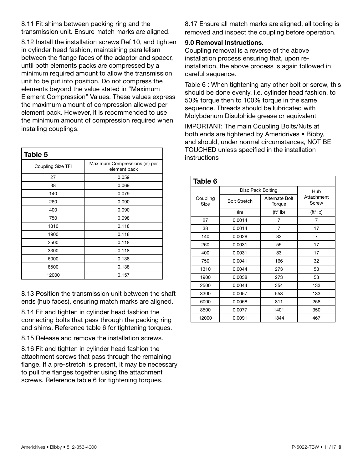8.11 Fit shims between packing ring and the transmission unit. Ensure match marks are aligned.

8.12 Install the installation screws Ref 10, and tighten in cylinder head fashion, maintaining parallelism between the flange faces of the adaptor and spacer, until both elements packs are compressed by a minimum required amount to allow the transmission unit to be put into position. Do not compress the elements beyond the value stated in "Maximum Element Compression" Values. These values express the maximum amount of compression allowed per element pack. However, it is recommended to use the minimum amount of compression required when installing couplings.

| Table 5           |                                               |  |  |  |  |  |
|-------------------|-----------------------------------------------|--|--|--|--|--|
| Coupling Size TFI | Maximum Compressions (in) per<br>element pack |  |  |  |  |  |
| 27                | 0.059                                         |  |  |  |  |  |
| 38                | 0.069                                         |  |  |  |  |  |
| 140               | 0.079                                         |  |  |  |  |  |
| 260               | 0.090                                         |  |  |  |  |  |
| 400               | 0.090                                         |  |  |  |  |  |
| 750               | 0.098                                         |  |  |  |  |  |
| 1310              | 0.118                                         |  |  |  |  |  |
| 1900              | 0.118                                         |  |  |  |  |  |
| 2500              | 0.118                                         |  |  |  |  |  |
| 3300              | 0.118                                         |  |  |  |  |  |
| 6000              | 0.138                                         |  |  |  |  |  |
| 8500              | 0.138                                         |  |  |  |  |  |
| 12000             | 0.157                                         |  |  |  |  |  |

8.13 Position the transmission unit between the shaft ends (hub faces), ensuring match marks are aligned.

8.14 Fit and tighten in cylinder head fashion the connecting bolts that pass through the packing ring and shims. Reference table 6 for tightening torques.

8.15 Release and remove the installation screws.

8.16 Fit and tighten in cylinder head fashion the attachment screws that pass through the remaining flange. If a pre-stretch is present, it may be necessary to pull the flanges together using the attachment screws. Reference table 6 for tightening torques.

8.17 Ensure all match marks are aligned, all tooling is removed and inspect the coupling before operation.

### **9.0 Removal Instructions.**

Coupling removal is a reverse of the above installation process ensuring that, upon reinstallation, the above process is again followed in careful sequence.

Table 6 : When tightening any other bolt or screw, this should be done evenly, i.e. cylinder head fashion, to 50% torque then to 100% torque in the same sequence. Threads should be lubricated with Molybdenum Disulphide grease or equivalent

IMPORTANT: The main Coupling Bolts/Nuts at both ends are tightened by Ameridrives • Bibby, and should, under normal circumstances, NOT BE TOUCHED unless specified in the installation instructions

| Table 6          |                     |                          |                         |  |  |  |  |
|------------------|---------------------|--------------------------|-------------------------|--|--|--|--|
|                  | Disc Pack Bolting   | Hub                      |                         |  |  |  |  |
| Coupling<br>Size | <b>Bolt Stretch</b> | Alternate Bolt<br>Torque | Attachment<br>Screw     |  |  |  |  |
|                  | (in)                | $(tt* lb)$               | $({\sf ft}^* {\sf lb})$ |  |  |  |  |
| 27               | 0.0014              | 7                        | 7                       |  |  |  |  |
| 38               | 0.0014              | 7                        | 17                      |  |  |  |  |
| 140              | 0.0028              | 33                       | 7                       |  |  |  |  |
| 260              | 0.0031              | 55                       | 17                      |  |  |  |  |
| 400              | 0.0031              | 83                       | 17                      |  |  |  |  |
| 750              | 0.0041              | 166                      | 32                      |  |  |  |  |
| 1310             | 0.0044              | 273                      | 53                      |  |  |  |  |
| 1900             | 0.0038              | 273                      | 53                      |  |  |  |  |
| 2500             | 0.0044              | 354                      | 133                     |  |  |  |  |
| 3300             | 0.0057              | 553                      | 133                     |  |  |  |  |
| 6000             | 0.0068              | 811                      | 258                     |  |  |  |  |
| 8500             | 0.0077              | 1401                     | 350                     |  |  |  |  |
| 12000            | 0.0091              | 1844                     | 467                     |  |  |  |  |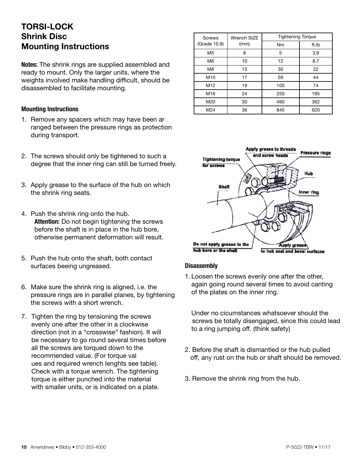### **TORSI-LOCK Shrink Disc Mounting Instructions**

**Notes:** The shrink rings are supplied assembled and ready to mount. Only the larger units, where the weights involved make handling difficult, should be disassembled to facilitate mounting.

#### **Mounting Instructions**

- 1. Remove any spacers which may have been ar ranged between the pressure rings as protection during transport.
- 2. The screws should only be tightened to such a degree that the inner ring can still be turned freely.
- 3. Apply grease to the surface of the hub on which the shrink ring seats.
- 4. Push the shrink ring onto the hub. **Attention:** Do not begin tightening the screws before the shaft is in place in the hub bore, otherwise permanent deformation will result.
- 5. Push the hub onto the shaft, both contact surfaces beeing ungreased.
- 6. Make sure the shrink ring is aligned, i.e. the pressure rings are in parallel planes, by tightening the screws with a short wrench.
- 7. Tighten the ring by tensioning the screws evenly one after the other in a clockwise direction (not in a "crosswise" fashion). It will be necessary to go round several times before all the screws are torqued down to the recommended value. (For torque val ues and required wrench lenghts see table). Check with a torque wrench. The tightening torque is either punched into the material with smaller units, or is indicated on a plate.

| <b>Screws</b>  | Wrench SIZE | <b>Tightening Torque</b> |       |
|----------------|-------------|--------------------------|-------|
| (Grade 10.9)   | (mm)        | Nm                       | ft.lb |
| M <sub>5</sub> | 8           | 5                        | 3.6   |
| M <sub>6</sub> | 10          | 12                       | 8.7   |
| M <sub>8</sub> | 13          | 30                       | 22    |
| M10            | 17          | 59                       | 44    |
| M12            | 19          | 100                      | 74    |
| M16            | 24          | 250                      | 185   |
| M20            | 30          | 490                      | 362   |
| M24            | 36          | 840                      | 620   |



### **Disassembly**

1. Loosen the screws evenly one after the other, again going round several times to avoid canting of the plates on the inner ring.

Under no cicumstances whatsoever should the screws be totally disengaged, since this could lead to a ring jumping off. (think safety)

- 2. Before the shaft is dismantled or the hub pulled off, any rust on the hub or shaft should be removed.
- 3. Remove the shrink ring from the hub.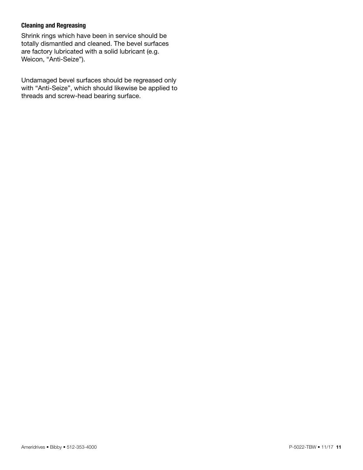#### **Cleaning and Regreasing**

Shrink rings which have been in service should be totally dismantled and cleaned. The bevel surfaces are factory lubricated with a solid lubricant (e.g. Weicon, "Anti-Seize").

Undamaged bevel surfaces should be regreased only with "Anti-Seize", which should likewise be applied to threads and screw-head bearing surface.